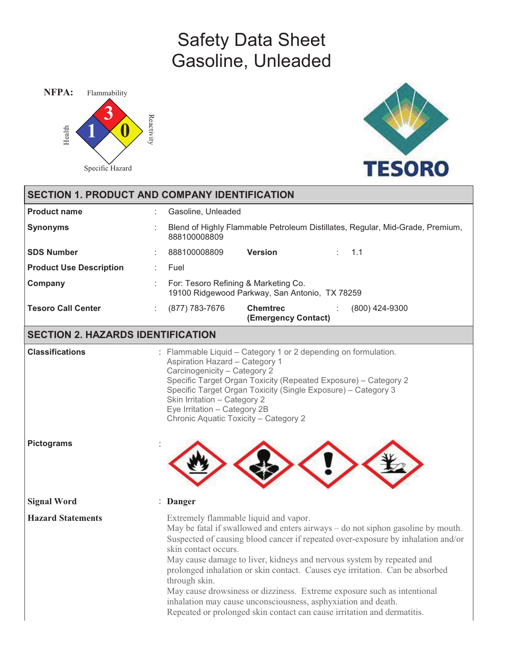# Safety Data Sheet Gasoline, Unleaded





|                                          | <b>SECTION 1. PRODUCT AND COMPANY IDENTIFICATION</b>                                                                                                                                                                                                                                                                                                                                                                                                                                                                                                                                                                                  |
|------------------------------------------|---------------------------------------------------------------------------------------------------------------------------------------------------------------------------------------------------------------------------------------------------------------------------------------------------------------------------------------------------------------------------------------------------------------------------------------------------------------------------------------------------------------------------------------------------------------------------------------------------------------------------------------|
| <b>Product name</b>                      | Gasoline, Unleaded                                                                                                                                                                                                                                                                                                                                                                                                                                                                                                                                                                                                                    |
| <b>Synonyms</b>                          | Blend of Highly Flammable Petroleum Distillates, Regular, Mid-Grade, Premium,<br>888100008809                                                                                                                                                                                                                                                                                                                                                                                                                                                                                                                                         |
| <b>SDS Number</b>                        | <b>Version</b><br>888100008809<br>1.1<br>t.                                                                                                                                                                                                                                                                                                                                                                                                                                                                                                                                                                                           |
| <b>Product Use Description</b>           | Fuel                                                                                                                                                                                                                                                                                                                                                                                                                                                                                                                                                                                                                                  |
| Company                                  | For: Tesoro Refining & Marketing Co.<br>19100 Ridgewood Parkway, San Antonio, TX 78259                                                                                                                                                                                                                                                                                                                                                                                                                                                                                                                                                |
| <b>Tesoro Call Center</b>                | <b>Chemtrec</b><br>(877) 783-7676<br>$(800)$ 424-9300<br>(Emergency Contact)                                                                                                                                                                                                                                                                                                                                                                                                                                                                                                                                                          |
| <b>SECTION 2. HAZARDS IDENTIFICATION</b> |                                                                                                                                                                                                                                                                                                                                                                                                                                                                                                                                                                                                                                       |
| <b>Classifications</b>                   | : Flammable Liquid - Category 1 or 2 depending on formulation.<br><b>Aspiration Hazard - Category 1</b><br>Carcinogenicity - Category 2<br>Specific Target Organ Toxicity (Repeated Exposure) - Category 2<br>Specific Target Organ Toxicity (Single Exposure) - Category 3<br>Skin Irritation - Category 2<br>Eye Irritation - Category 2B<br>Chronic Aquatic Toxicity - Category 2                                                                                                                                                                                                                                                  |
| <b>Pictograms</b>                        |                                                                                                                                                                                                                                                                                                                                                                                                                                                                                                                                                                                                                                       |
| <b>Signal Word</b>                       | : Danger                                                                                                                                                                                                                                                                                                                                                                                                                                                                                                                                                                                                                              |
| <b>Hazard Statements</b>                 | Extremely flammable liquid and vapor.<br>May be fatal if swallowed and enters airways – do not siphon gasoline by mouth.<br>Suspected of causing blood cancer if repeated over-exposure by inhalation and/or<br>skin contact occurs.<br>May cause damage to liver, kidneys and nervous system by repeated and<br>prolonged inhalation or skin contact. Causes eye irritation. Can be absorbed<br>through skin.<br>May cause drowsiness or dizziness. Extreme exposure such as intentional<br>inhalation may cause unconsciousness, asphyxiation and death.<br>Repeated or prolonged skin contact can cause irritation and dermatitis. |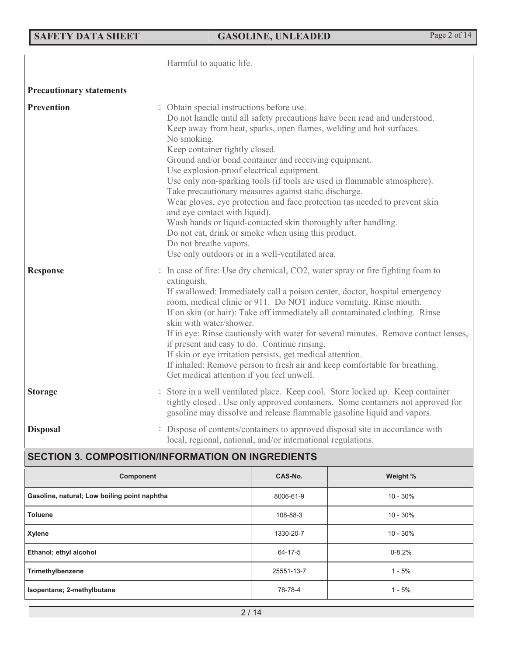## **SAFETY DATA SHEET GASOLINE, UNLEADED** Page 2 of 14

|                                 | Harmful to aquatic life.                                                                                                                                                                                                                                                                                                                                                                                                                                                                                                                                                                                                                                                                                                                                                                                       |
|---------------------------------|----------------------------------------------------------------------------------------------------------------------------------------------------------------------------------------------------------------------------------------------------------------------------------------------------------------------------------------------------------------------------------------------------------------------------------------------------------------------------------------------------------------------------------------------------------------------------------------------------------------------------------------------------------------------------------------------------------------------------------------------------------------------------------------------------------------|
| <b>Precautionary statements</b> |                                                                                                                                                                                                                                                                                                                                                                                                                                                                                                                                                                                                                                                                                                                                                                                                                |
| <b>Prevention</b>               | : Obtain special instructions before use.<br>Do not handle until all safety precautions have been read and understood.<br>Keep away from heat, sparks, open flames, welding and hot surfaces.<br>No smoking.<br>Keep container tightly closed.<br>Ground and/or bond container and receiving equipment.<br>Use explosion-proof electrical equipment.<br>Use only non-sparking tools (if tools are used in flammable atmosphere).<br>Take precautionary measures against static discharge.<br>Wear gloves, eye protection and face protection (as needed to prevent skin<br>and eye contact with liquid).<br>Wash hands or liquid-contacted skin thoroughly after handling.<br>Do not eat, drink or smoke when using this product.<br>Do not breathe vapors.<br>Use only outdoors or in a well-ventilated area. |
| <b>Response</b>                 | : In case of fire: Use dry chemical, CO2, water spray or fire fighting foam to<br>extinguish.<br>If swallowed: Immediately call a poison center, doctor, hospital emergency<br>room, medical clinic or 911. Do NOT induce vomiting. Rinse mouth.<br>If on skin (or hair): Take off immediately all contaminated clothing. Rinse<br>skin with water/shower.<br>If in eye: Rinse cautiously with water for several minutes. Remove contact lenses,<br>if present and easy to do. Continue rinsing.<br>If skin or eye irritation persists, get medical attention.<br>If inhaled: Remove person to fresh air and keep comfortable for breathing.<br>Get medical attention if you feel unwell.                                                                                                                      |
| <b>Storage</b>                  | : Store in a well ventilated place. Keep cool. Store locked up. Keep container<br>tightly closed. Use only approved containers. Some containers not approved for<br>gasoline may dissolve and release flammable gasoline liquid and vapors.                                                                                                                                                                                                                                                                                                                                                                                                                                                                                                                                                                    |
| <b>Disposal</b>                 | Dispose of contents/containers to approved disposal site in accordance with<br>local, regional, national, and/or international regulations.                                                                                                                                                                                                                                                                                                                                                                                                                                                                                                                                                                                                                                                                    |

## **SECTION 3. COMPOSITION/INFORMATION ON INGREDIENTS**

| Component                                    | CAS-No.    | Weight %   |
|----------------------------------------------|------------|------------|
| Gasoline, natural; Low boiling point naphtha | 8006-61-9  | $10 - 30%$ |
| <b>Toluene</b>                               | 108-88-3   | $10 - 30%$ |
| Xylene                                       | 1330-20-7  | $10 - 30%$ |
| Ethanol; ethyl alcohol                       | 64-17-5    | $0 - 8.2%$ |
| Trimethylbenzene                             | 25551-13-7 | $1 - 5%$   |
| Isopentane; 2-methylbutane                   | 78-78-4    | $1 - 5%$   |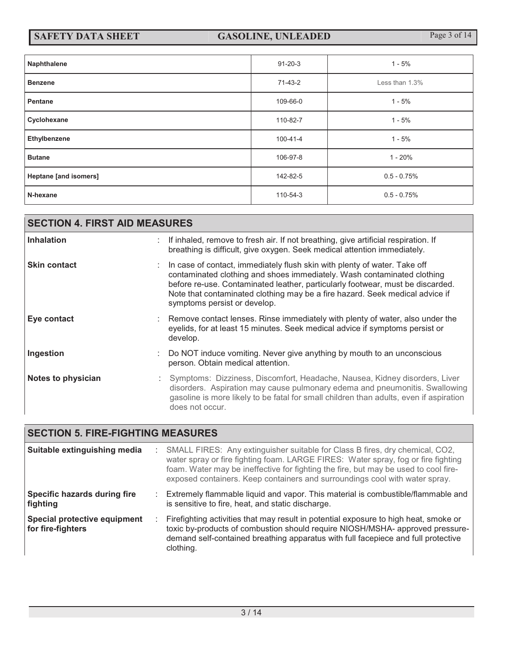| Naphthalene                  | $91 - 20 - 3$ | $1 - 5%$       |
|------------------------------|---------------|----------------|
| <b>Benzene</b>               | 71-43-2       | Less than 1.3% |
| Pentane                      | 109-66-0      | $1 - 5%$       |
| Cyclohexane                  | 110-82-7      | $1 - 5%$       |
| Ethylbenzene                 | 100-41-4      | $1 - 5%$       |
| <b>Butane</b>                | 106-97-8      | $1 - 20%$      |
| <b>Heptane [and isomers]</b> | 142-82-5      | $0.5 - 0.75%$  |
| N-hexane                     | 110-54-3      | $0.5 - 0.75%$  |

| <b>SECTION 4. FIRST AID MEASURES</b> |  |                                                                                                                                                                                                                                                                                                                                                        |  |  |
|--------------------------------------|--|--------------------------------------------------------------------------------------------------------------------------------------------------------------------------------------------------------------------------------------------------------------------------------------------------------------------------------------------------------|--|--|
| <b>Inhalation</b>                    |  | If inhaled, remove to fresh air. If not breathing, give artificial respiration. If<br>breathing is difficult, give oxygen. Seek medical attention immediately.                                                                                                                                                                                         |  |  |
| <b>Skin contact</b>                  |  | In case of contact, immediately flush skin with plenty of water. Take off<br>contaminated clothing and shoes immediately. Wash contaminated clothing<br>before re-use. Contaminated leather, particularly footwear, must be discarded.<br>Note that contaminated clothing may be a fire hazard. Seek medical advice if<br>symptoms persist or develop. |  |  |
| Eye contact                          |  | Remove contact lenses. Rinse immediately with plenty of water, also under the<br>eyelids, for at least 15 minutes. Seek medical advice if symptoms persist or<br>develop.                                                                                                                                                                              |  |  |
| Ingestion                            |  | Do NOT induce vomiting. Never give anything by mouth to an unconscious<br>person. Obtain medical attention.                                                                                                                                                                                                                                            |  |  |
| Notes to physician                   |  | : Symptoms: Dizziness, Discomfort, Headache, Nausea, Kidney disorders, Liver<br>disorders. Aspiration may cause pulmonary edema and pneumonitis. Swallowing<br>gasoline is more likely to be fatal for small children than adults, even if aspiration<br>does not occur.                                                                               |  |  |

## **SECTION 5. FIRE-FIGHTING MEASURES**

| Suitable extinguishing media                      | ÷. | SMALL FIRES: Any extinguisher suitable for Class B fires, dry chemical, CO2,<br>water spray or fire fighting foam. LARGE FIRES: Water spray, fog or fire fighting<br>foam. Water may be ineffective for fighting the fire, but may be used to cool fire-<br>exposed containers. Keep containers and surroundings cool with water spray. |
|---------------------------------------------------|----|-----------------------------------------------------------------------------------------------------------------------------------------------------------------------------------------------------------------------------------------------------------------------------------------------------------------------------------------|
| Specific hazards during fire<br>fighting          | ÷  | Extremely flammable liquid and vapor. This material is combustible/flammable and<br>is sensitive to fire, heat, and static discharge.                                                                                                                                                                                                   |
| Special protective equipment<br>for fire-fighters |    | Firefighting activities that may result in potential exposure to high heat, smoke or<br>toxic by-products of combustion should require NIOSH/MSHA- approved pressure-<br>demand self-contained breathing apparatus with full facepiece and full protective<br>clothing.                                                                 |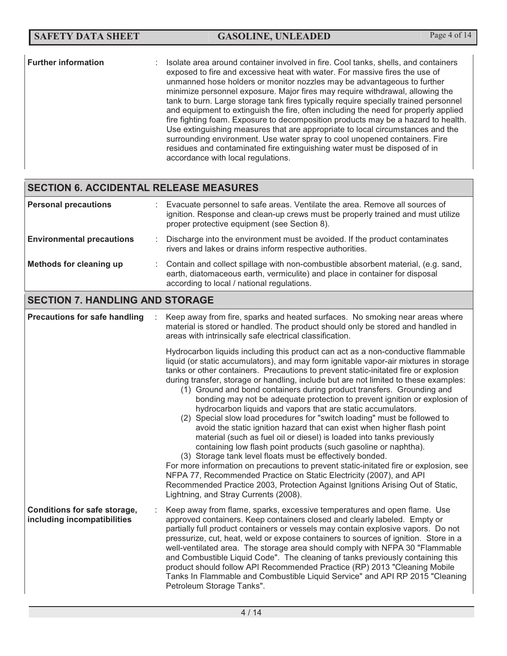| <b>Further information</b> | Isolate area around container involved in fire. Cool tanks, shells, and containers<br>exposed to fire and excessive heat with water. For massive fires the use of<br>unmanned hose holders or monitor nozzles may be advantageous to further<br>minimize personnel exposure. Major fires may require withdrawal, allowing the<br>tank to burn. Large storage tank fires typically require specially trained personnel<br>and equipment to extinguish the fire, often including the need for properly applied<br>fire fighting foam. Exposure to decomposition products may be a hazard to health.<br>Use extinguishing measures that are appropriate to local circumstances and the<br>surrounding environment. Use water spray to cool unopened containers. Fire<br>residues and contaminated fire extinguishing water must be disposed of in<br>accordance with local regulations. |
|----------------------------|--------------------------------------------------------------------------------------------------------------------------------------------------------------------------------------------------------------------------------------------------------------------------------------------------------------------------------------------------------------------------------------------------------------------------------------------------------------------------------------------------------------------------------------------------------------------------------------------------------------------------------------------------------------------------------------------------------------------------------------------------------------------------------------------------------------------------------------------------------------------------------------|
|----------------------------|--------------------------------------------------------------------------------------------------------------------------------------------------------------------------------------------------------------------------------------------------------------------------------------------------------------------------------------------------------------------------------------------------------------------------------------------------------------------------------------------------------------------------------------------------------------------------------------------------------------------------------------------------------------------------------------------------------------------------------------------------------------------------------------------------------------------------------------------------------------------------------------|

## **SECTION 6. ACCIDENTAL RELEASE MEASURES**

| <b>Personal precautions</b>                                        | Evacuate personnel to safe areas. Ventilate the area. Remove all sources of<br>ignition. Response and clean-up crews must be properly trained and must utilize<br>proper protective equipment (see Section 8).                                                                                                                                                                                                                                                                                                                                                                                                                                                                                                                                                                                                                                                                                                                                                                                                                                                                                                                                                                                                                               |  |  |  |
|--------------------------------------------------------------------|----------------------------------------------------------------------------------------------------------------------------------------------------------------------------------------------------------------------------------------------------------------------------------------------------------------------------------------------------------------------------------------------------------------------------------------------------------------------------------------------------------------------------------------------------------------------------------------------------------------------------------------------------------------------------------------------------------------------------------------------------------------------------------------------------------------------------------------------------------------------------------------------------------------------------------------------------------------------------------------------------------------------------------------------------------------------------------------------------------------------------------------------------------------------------------------------------------------------------------------------|--|--|--|
| <b>Environmental precautions</b>                                   | Discharge into the environment must be avoided. If the product contaminates<br>rivers and lakes or drains inform respective authorities.                                                                                                                                                                                                                                                                                                                                                                                                                                                                                                                                                                                                                                                                                                                                                                                                                                                                                                                                                                                                                                                                                                     |  |  |  |
| <b>Methods for cleaning up</b>                                     | Contain and collect spillage with non-combustible absorbent material, (e.g. sand,<br>earth, diatomaceous earth, vermiculite) and place in container for disposal<br>according to local / national regulations.                                                                                                                                                                                                                                                                                                                                                                                                                                                                                                                                                                                                                                                                                                                                                                                                                                                                                                                                                                                                                               |  |  |  |
| <b>SECTION 7. HANDLING AND STORAGE</b>                             |                                                                                                                                                                                                                                                                                                                                                                                                                                                                                                                                                                                                                                                                                                                                                                                                                                                                                                                                                                                                                                                                                                                                                                                                                                              |  |  |  |
| <b>Precautions for safe handling</b>                               | Keep away from fire, sparks and heated surfaces. No smoking near areas where<br>material is stored or handled. The product should only be stored and handled in<br>areas with intrinsically safe electrical classification.                                                                                                                                                                                                                                                                                                                                                                                                                                                                                                                                                                                                                                                                                                                                                                                                                                                                                                                                                                                                                  |  |  |  |
|                                                                    | Hydrocarbon liquids including this product can act as a non-conductive flammable<br>liquid (or static accumulators), and may form ignitable vapor-air mixtures in storage<br>tanks or other containers. Precautions to prevent static-initated fire or explosion<br>during transfer, storage or handling, include but are not limited to these examples:<br>(1) Ground and bond containers during product transfers. Grounding and<br>bonding may not be adequate protection to prevent ignition or explosion of<br>hydrocarbon liquids and vapors that are static accumulators.<br>(2) Special slow load procedures for "switch loading" must be followed to<br>avoid the static ignition hazard that can exist when higher flash point<br>material (such as fuel oil or diesel) is loaded into tanks previously<br>containing low flash point products (such gasoline or naphtha).<br>(3) Storage tank level floats must be effectively bonded.<br>For more information on precautions to prevent static-initated fire or explosion, see<br>NFPA 77, Recommended Practice on Static Electricity (2007), and API<br>Recommended Practice 2003, Protection Against Ignitions Arising Out of Static,<br>Lightning, and Stray Currents (2008). |  |  |  |
| <b>Conditions for safe storage,</b><br>including incompatibilities | Keep away from flame, sparks, excessive temperatures and open flame. Use<br>approved containers. Keep containers closed and clearly labeled. Empty or<br>partially full product containers or vessels may contain explosive vapors. Do not<br>pressurize, cut, heat, weld or expose containers to sources of ignition. Store in a<br>well-ventilated area. The storage area should comply with NFPA 30 "Flammable<br>and Combustible Liquid Code". The cleaning of tanks previously containing this<br>product should follow API Recommended Practice (RP) 2013 "Cleaning Mobile<br>Tanks In Flammable and Combustible Liquid Service" and API RP 2015 "Cleaning<br>Petroleum Storage Tanks".                                                                                                                                                                                                                                                                                                                                                                                                                                                                                                                                                |  |  |  |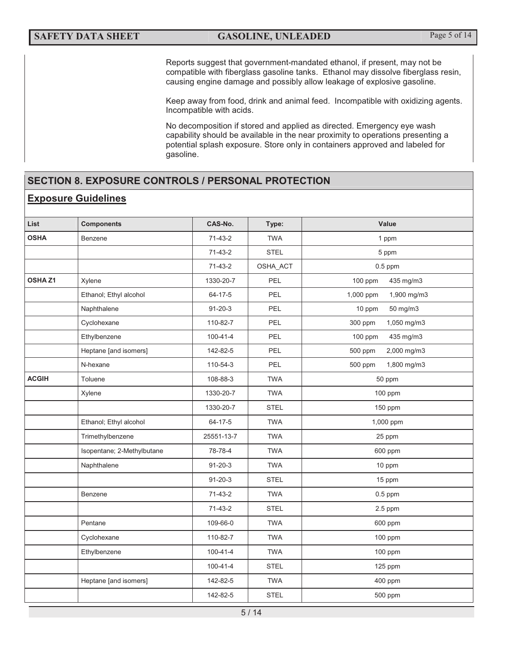Reports suggest that government-mandated ethanol, if present, may not be compatible with fiberglass gasoline tanks. Ethanol may dissolve fiberglass resin, causing engine damage and possibly allow leakage of explosive gasoline.

Keep away from food, drink and animal feed. Incompatible with oxidizing agents. Incompatible with acids.

 No decomposition if stored and applied as directed. Emergency eye wash capability should be available in the near proximity to operations presenting a potential splash exposure. Store only in containers approved and labeled for gasoline.

## **SECTION 8. EXPOSURE CONTROLS / PERSONAL PROTECTION**

#### **Exposure Guidelines**

| List         | <b>Components</b>          | CAS-No.        | Type:       | Value                    |
|--------------|----------------------------|----------------|-------------|--------------------------|
| <b>OSHA</b>  | Benzene                    | $71-43-2$      | <b>TWA</b>  | 1 ppm                    |
|              |                            | $71-43-2$      | <b>STEL</b> | 5 ppm                    |
|              |                            | $71-43-2$      | OSHA_ACT    | $0.5$ ppm                |
| OSHAZ1       | Xylene                     | 1330-20-7      | PEL         | 100 ppm<br>435 mg/m3     |
|              | Ethanol; Ethyl alcohol     | 64-17-5        | PEL         | 1,000 ppm<br>1,900 mg/m3 |
|              | Naphthalene                | $91 - 20 - 3$  | PEL         | 10 ppm<br>50 mg/m3       |
|              | Cyclohexane                | 110-82-7       | PEL         | 300 ppm<br>1,050 mg/m3   |
|              | Ethylbenzene               | $100 - 41 - 4$ | PEL         | 435 mg/m3<br>100 ppm     |
|              | Heptane [and isomers]      | 142-82-5       | PEL         | 2,000 mg/m3<br>500 ppm   |
|              | N-hexane                   | 110-54-3       | PEL         | 1,800 mg/m3<br>500 ppm   |
| <b>ACGIH</b> | Toluene                    | 108-88-3       | <b>TWA</b>  | 50 ppm                   |
|              | Xylene                     | 1330-20-7      | <b>TWA</b>  | 100 ppm                  |
|              |                            | 1330-20-7      | <b>STEL</b> | 150 ppm                  |
|              | Ethanol; Ethyl alcohol     | 64-17-5        | <b>TWA</b>  | 1,000 ppm                |
|              | Trimethylbenzene           | 25551-13-7     | <b>TWA</b>  | 25 ppm                   |
|              | Isopentane; 2-Methylbutane | 78-78-4        | <b>TWA</b>  | 600 ppm                  |
|              | Naphthalene                | $91 - 20 - 3$  | <b>TWA</b>  | 10 ppm                   |
|              |                            | $91 - 20 - 3$  | <b>STEL</b> | 15 ppm                   |
|              | Benzene                    | $71-43-2$      | <b>TWA</b>  | $0.5$ ppm                |
|              |                            | $71-43-2$      | <b>STEL</b> | $2.5$ ppm                |
|              | Pentane                    | 109-66-0       | <b>TWA</b>  | 600 ppm                  |
|              | Cyclohexane                | 110-82-7       | <b>TWA</b>  | 100 ppm                  |
|              | Ethylbenzene               | $100 - 41 - 4$ | <b>TWA</b>  | 100 ppm                  |
|              |                            | 100-41-4       | <b>STEL</b> | 125 ppm                  |
|              | Heptane [and isomers]      | 142-82-5       | <b>TWA</b>  | 400 ppm                  |
|              |                            | 142-82-5       | <b>STEL</b> | 500 ppm                  |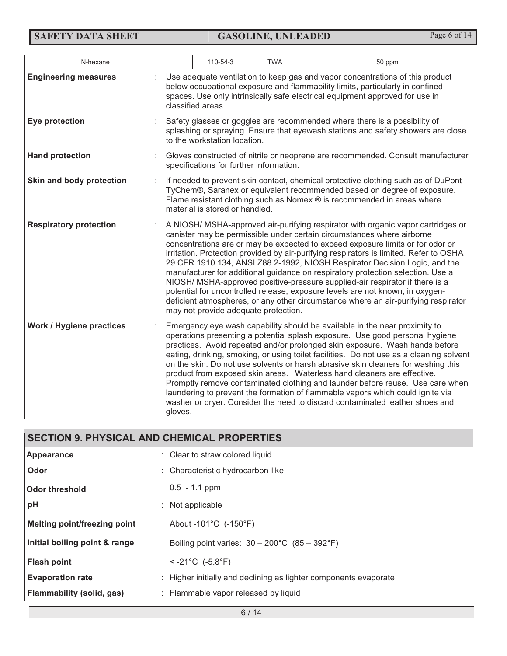**SAFETY DATA SHEET GASOLINE, UNLEADED** Page 6 of 14

|                                 | N-hexane |         | 110-54-3                                | <b>TWA</b> | 50 ppm                                                                                                                                                                                                                                                                                                                                                                                                                                                                                                                                                                                                                                                                                                                                                         |
|---------------------------------|----------|---------|-----------------------------------------|------------|----------------------------------------------------------------------------------------------------------------------------------------------------------------------------------------------------------------------------------------------------------------------------------------------------------------------------------------------------------------------------------------------------------------------------------------------------------------------------------------------------------------------------------------------------------------------------------------------------------------------------------------------------------------------------------------------------------------------------------------------------------------|
| <b>Engineering measures</b>     |          |         | classified areas.                       |            | Use adequate ventilation to keep gas and vapor concentrations of this product<br>below occupational exposure and flammability limits, particularly in confined<br>spaces. Use only intrinsically safe electrical equipment approved for use in                                                                                                                                                                                                                                                                                                                                                                                                                                                                                                                 |
| Eye protection                  |          |         | to the workstation location.            |            | Safety glasses or goggles are recommended where there is a possibility of<br>splashing or spraying. Ensure that eyewash stations and safety showers are close                                                                                                                                                                                                                                                                                                                                                                                                                                                                                                                                                                                                  |
| <b>Hand protection</b>          |          |         | specifications for further information. |            | Gloves constructed of nitrile or neoprene are recommended. Consult manufacturer                                                                                                                                                                                                                                                                                                                                                                                                                                                                                                                                                                                                                                                                                |
| Skin and body protection        |          |         | material is stored or handled.          |            | If needed to prevent skin contact, chemical protective clothing such as of DuPont<br>TyChem®, Saranex or equivalent recommended based on degree of exposure.<br>Flame resistant clothing such as Nomex ® is recommended in areas where                                                                                                                                                                                                                                                                                                                                                                                                                                                                                                                         |
| <b>Respiratory protection</b>   |          |         | may not provide adequate protection.    |            | A NIOSH/ MSHA-approved air-purifying respirator with organic vapor cartridges or<br>canister may be permissible under certain circumstances where airborne<br>concentrations are or may be expected to exceed exposure limits or for odor or<br>irritation. Protection provided by air-purifying respirators is limited. Refer to OSHA<br>29 CFR 1910.134, ANSI Z88.2-1992, NIOSH Respirator Decision Logic, and the<br>manufacturer for additional guidance on respiratory protection selection. Use a<br>NIOSH/ MSHA-approved positive-pressure supplied-air respirator if there is a<br>potential for uncontrolled release, exposure levels are not known, in oxygen-<br>deficient atmospheres, or any other circumstance where an air-purifying respirator |
| <b>Work / Hygiene practices</b> |          | gloves. |                                         |            | Emergency eye wash capability should be available in the near proximity to<br>operations presenting a potential splash exposure. Use good personal hygiene<br>practices. Avoid repeated and/or prolonged skin exposure. Wash hands before<br>eating, drinking, smoking, or using toilet facilities. Do not use as a cleaning solvent<br>on the skin. Do not use solvents or harsh abrasive skin cleaners for washing this<br>product from exposed skin areas. Waterless hand cleaners are effective.<br>Promptly remove contaminated clothing and launder before reuse. Use care when<br>laundering to prevent the formation of flammable vapors which could ignite via<br>washer or dryer. Consider the need to discard contaminated leather shoes and        |

#### 6 / 14 **SECTION 9. PHYSICAL AND CHEMICAL PROPERTIES Appearance** : Clear to straw colored liquid **Odor Odor threshold**  : Characteristic hydrocarbon-like 0.5 - 1.1 ppm **pH Melting point/freezing point Initial boiling point & range Flash point**  : Not applicable About -101°C (-150°F) Boiling point varies: 30 – 200°C (85 – 392°F) < -21°C (-5.8°F) **Evaporation rate** : Higher initially and declining as lighter components evaporate **Flammability (solid, gas)** : Flammable vapor released by liquid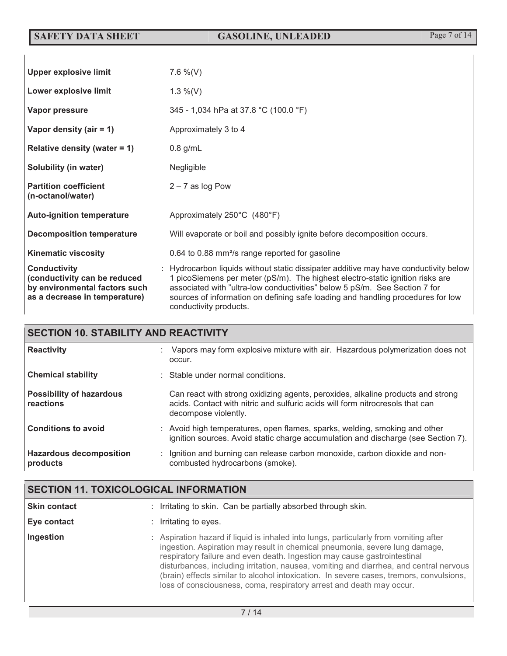**SAFETY DATA SHEET GASOLINE, UNLEADED** Page 7 of 14

| <b>Upper explosive limit</b>                                                                                          | 7.6 %(V)                                                                                                                                                                                                                                                                                                                                                         |
|-----------------------------------------------------------------------------------------------------------------------|------------------------------------------------------------------------------------------------------------------------------------------------------------------------------------------------------------------------------------------------------------------------------------------------------------------------------------------------------------------|
| Lower explosive limit                                                                                                 | 1.3 $\%$ (V)                                                                                                                                                                                                                                                                                                                                                     |
| Vapor pressure                                                                                                        | 345 - 1,034 hPa at 37.8 °C (100.0 °F)                                                                                                                                                                                                                                                                                                                            |
| Vapor density (air $= 1$ )                                                                                            | Approximately 3 to 4                                                                                                                                                                                                                                                                                                                                             |
| Relative density (water $= 1$ )                                                                                       | $0.8$ g/mL                                                                                                                                                                                                                                                                                                                                                       |
| Solubility (in water)                                                                                                 | Negligible                                                                                                                                                                                                                                                                                                                                                       |
| <b>Partition coefficient</b><br>(n-octanol/water)                                                                     | $2 - 7$ as log Pow                                                                                                                                                                                                                                                                                                                                               |
| <b>Auto-ignition temperature</b>                                                                                      | Approximately 250°C (480°F)                                                                                                                                                                                                                                                                                                                                      |
| <b>Decomposition temperature</b>                                                                                      | Will evaporate or boil and possibly ignite before decomposition occurs.                                                                                                                                                                                                                                                                                          |
| <b>Kinematic viscosity</b>                                                                                            | 0.64 to 0.88 mm <sup>2</sup> /s range reported for gasoline                                                                                                                                                                                                                                                                                                      |
| <b>Conductivity</b><br>(conductivity can be reduced<br>by environmental factors such<br>as a decrease in temperature) | : Hydrocarbon liquids without static dissipater additive may have conductivity below<br>1 picoSiemens per meter (pS/m). The highest electro-static ignition risks are<br>associated with "ultra-low conductivities" below 5 pS/m. See Section 7 for<br>sources of information on defining safe loading and handling procedures for low<br>conductivity products. |

| <b>SECTION 10. STABILITY AND REACTIVITY</b>  |  |                                                                                                                                                                                          |  |
|----------------------------------------------|--|------------------------------------------------------------------------------------------------------------------------------------------------------------------------------------------|--|
| <b>Reactivity</b>                            |  | : Vapors may form explosive mixture with air. Hazardous polymerization does not<br>occur.                                                                                                |  |
| <b>Chemical stability</b>                    |  | $\therefore$ Stable under normal conditions.                                                                                                                                             |  |
| <b>Possibility of hazardous</b><br>reactions |  | Can react with strong oxidizing agents, peroxides, alkaline products and strong<br>acids. Contact with nitric and sulfuric acids will form nitrocresols that can<br>decompose violently. |  |
| <b>Conditions to avoid</b>                   |  | : Avoid high temperatures, open flames, sparks, welding, smoking and other<br>ignition sources. Avoid static charge accumulation and discharge (see Section 7).                          |  |
| <b>Hazardous decomposition</b><br>products   |  | : Ignition and burning can release carbon monoxide, carbon dioxide and non-<br>combusted hydrocarbons (smoke).                                                                           |  |

| <b>SECTION 11. TOXICOLOGICAL INFORMATION</b> |                                                                                                                                                                                                                                                                                                                                                                                                                                                                                                               |  |  |
|----------------------------------------------|---------------------------------------------------------------------------------------------------------------------------------------------------------------------------------------------------------------------------------------------------------------------------------------------------------------------------------------------------------------------------------------------------------------------------------------------------------------------------------------------------------------|--|--|
| <b>Skin contact</b>                          | Irritating to skin. Can be partially absorbed through skin.                                                                                                                                                                                                                                                                                                                                                                                                                                                   |  |  |
| Eye contact                                  | Irritating to eyes.                                                                                                                                                                                                                                                                                                                                                                                                                                                                                           |  |  |
| Ingestion                                    | : Aspiration hazard if liquid is inhaled into lungs, particularly from vomiting after<br>ingestion. Aspiration may result in chemical pneumonia, severe lung damage,<br>respiratory failure and even death. Ingestion may cause gastrointestinal<br>disturbances, including irritation, nausea, vomiting and diarrhea, and central nervous<br>(brain) effects similar to alcohol intoxication. In severe cases, tremors, convulsions,<br>loss of consciousness, coma, respiratory arrest and death may occur. |  |  |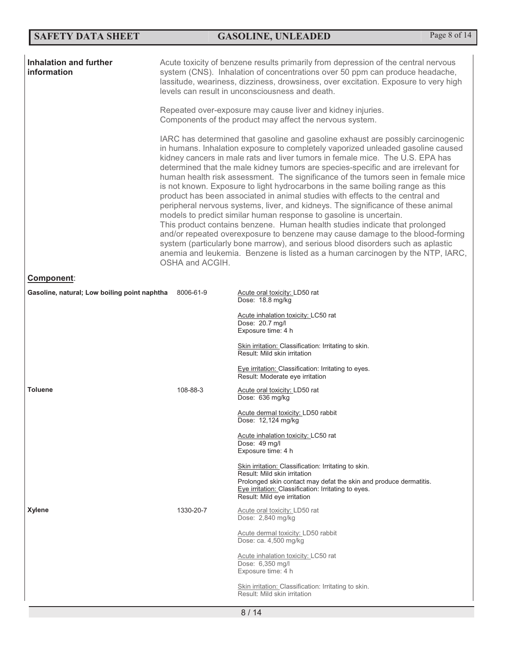## **SAFETY DATA SHEET GASOLINE, UNLEADED** Page 8 of 14

| <b>Inhalation and further</b><br>information | Acute toxicity of benzene results primarily from depression of the central nervous<br>system (CNS). Inhalation of concentrations over 50 ppm can produce headache,<br>lassitude, weariness, dizziness, drowsiness, over excitation. Exposure to very high<br>levels can result in unconsciousness and death. |                                                                                                                                                                                                                                                                                                                                                                                                                                                                                                                                                                                                                                                                                                                                                                                                                                                                                                                                                                                                                                                                                                  |  |  |
|----------------------------------------------|--------------------------------------------------------------------------------------------------------------------------------------------------------------------------------------------------------------------------------------------------------------------------------------------------------------|--------------------------------------------------------------------------------------------------------------------------------------------------------------------------------------------------------------------------------------------------------------------------------------------------------------------------------------------------------------------------------------------------------------------------------------------------------------------------------------------------------------------------------------------------------------------------------------------------------------------------------------------------------------------------------------------------------------------------------------------------------------------------------------------------------------------------------------------------------------------------------------------------------------------------------------------------------------------------------------------------------------------------------------------------------------------------------------------------|--|--|
|                                              | Repeated over-exposure may cause liver and kidney injuries.<br>Components of the product may affect the nervous system.                                                                                                                                                                                      |                                                                                                                                                                                                                                                                                                                                                                                                                                                                                                                                                                                                                                                                                                                                                                                                                                                                                                                                                                                                                                                                                                  |  |  |
|                                              | OSHA and ACGIH.                                                                                                                                                                                                                                                                                              | IARC has determined that gasoline and gasoline exhaust are possibly carcinogenic<br>in humans. Inhalation exposure to completely vaporized unleaded gasoline caused<br>kidney cancers in male rats and liver tumors in female mice. The U.S. EPA has<br>determined that the male kidney tumors are species-specific and are irrelevant for<br>human health risk assessment. The significance of the tumors seen in female mice<br>is not known. Exposure to light hydrocarbons in the same boiling range as this<br>product has been associated in animal studies with effects to the central and<br>peripheral nervous systems, liver, and kidneys. The significance of these animal<br>models to predict similar human response to gasoline is uncertain.<br>This product contains benzene. Human health studies indicate that prolonged<br>and/or repeated overexposure to benzene may cause damage to the blood-forming<br>system (particularly bone marrow), and serious blood disorders such as aplastic<br>anemia and leukemia. Benzene is listed as a human carcinogen by the NTP, IARC, |  |  |
| Component:                                   |                                                                                                                                                                                                                                                                                                              |                                                                                                                                                                                                                                                                                                                                                                                                                                                                                                                                                                                                                                                                                                                                                                                                                                                                                                                                                                                                                                                                                                  |  |  |
| Gasoline, natural; Low boiling point naphtha | 8006-61-9                                                                                                                                                                                                                                                                                                    | Acute oral toxicity: LD50 rat<br>Dose: 18.8 mg/kg                                                                                                                                                                                                                                                                                                                                                                                                                                                                                                                                                                                                                                                                                                                                                                                                                                                                                                                                                                                                                                                |  |  |
|                                              |                                                                                                                                                                                                                                                                                                              | Acute inhalation toxicity: LC50 rat<br>Dose: 20.7 mg/l<br>Exposure time: 4 h                                                                                                                                                                                                                                                                                                                                                                                                                                                                                                                                                                                                                                                                                                                                                                                                                                                                                                                                                                                                                     |  |  |
|                                              |                                                                                                                                                                                                                                                                                                              | Skin irritation: Classification: Irritating to skin.<br>Result: Mild skin irritation                                                                                                                                                                                                                                                                                                                                                                                                                                                                                                                                                                                                                                                                                                                                                                                                                                                                                                                                                                                                             |  |  |
|                                              |                                                                                                                                                                                                                                                                                                              | Eye irritation: Classification: Irritating to eyes.<br>Result: Moderate eye irritation                                                                                                                                                                                                                                                                                                                                                                                                                                                                                                                                                                                                                                                                                                                                                                                                                                                                                                                                                                                                           |  |  |
| <b>Toluene</b>                               | 108-88-3                                                                                                                                                                                                                                                                                                     | Acute oral toxicity: LD50 rat<br>Dose: 636 mg/kg                                                                                                                                                                                                                                                                                                                                                                                                                                                                                                                                                                                                                                                                                                                                                                                                                                                                                                                                                                                                                                                 |  |  |
|                                              |                                                                                                                                                                                                                                                                                                              | Acute dermal toxicity: LD50 rabbit<br>Dose: 12,124 mg/kg                                                                                                                                                                                                                                                                                                                                                                                                                                                                                                                                                                                                                                                                                                                                                                                                                                                                                                                                                                                                                                         |  |  |
|                                              |                                                                                                                                                                                                                                                                                                              | Acute inhalation toxicity: LC50 rat<br>Dose: 49 mg/l<br>Exposure time: 4 h                                                                                                                                                                                                                                                                                                                                                                                                                                                                                                                                                                                                                                                                                                                                                                                                                                                                                                                                                                                                                       |  |  |
|                                              |                                                                                                                                                                                                                                                                                                              | Skin irritation: Classification: Irritating to skin.<br>Result: Mild skin irritation<br>Prolonged skin contact may defat the skin and produce dermatitis.<br>Eye irritation: Classification: Irritating to eyes.<br>Result: Mild eye irritation                                                                                                                                                                                                                                                                                                                                                                                                                                                                                                                                                                                                                                                                                                                                                                                                                                                  |  |  |
| <b>Xylene</b>                                | 1330-20-7                                                                                                                                                                                                                                                                                                    | Acute oral toxicity: LD50 rat<br>Dose: 2,840 mg/kg                                                                                                                                                                                                                                                                                                                                                                                                                                                                                                                                                                                                                                                                                                                                                                                                                                                                                                                                                                                                                                               |  |  |
|                                              |                                                                                                                                                                                                                                                                                                              | Acute dermal toxicity: LD50 rabbit<br>Dose: ca. 4,500 mg/kg                                                                                                                                                                                                                                                                                                                                                                                                                                                                                                                                                                                                                                                                                                                                                                                                                                                                                                                                                                                                                                      |  |  |
|                                              |                                                                                                                                                                                                                                                                                                              | Acute inhalation toxicity: LC50 rat<br>Dose: 6,350 mg/l<br>Exposure time: 4 h                                                                                                                                                                                                                                                                                                                                                                                                                                                                                                                                                                                                                                                                                                                                                                                                                                                                                                                                                                                                                    |  |  |
|                                              |                                                                                                                                                                                                                                                                                                              | Skin irritation: Classification: Irritating to skin.<br>Result: Mild skin irritation                                                                                                                                                                                                                                                                                                                                                                                                                                                                                                                                                                                                                                                                                                                                                                                                                                                                                                                                                                                                             |  |  |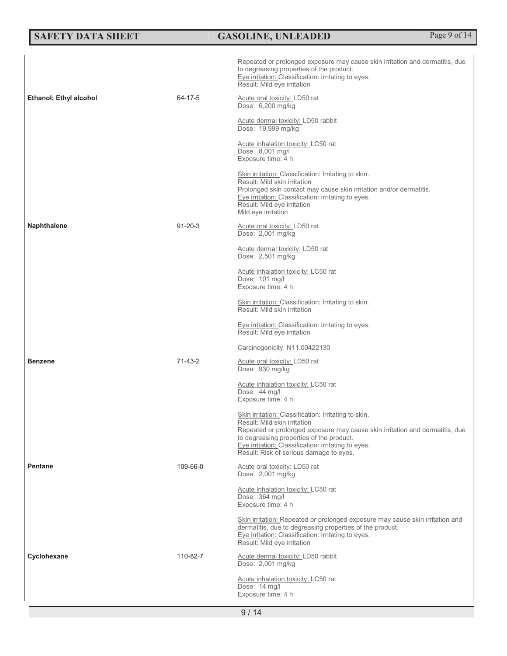| <b>SAFETY DATA SHEET</b>      |               | <b>GASOLINE, UNLEADED</b>                                                                                                                                                                                                                                                                                          | Page 9 of 14 |
|-------------------------------|---------------|--------------------------------------------------------------------------------------------------------------------------------------------------------------------------------------------------------------------------------------------------------------------------------------------------------------------|--------------|
| <b>Ethanol; Ethyl alcohol</b> | 64-17-5       | Repeated or prolonged exposure may cause skin irritation and dermatitis, due<br>to degreasing properties of the product.<br>Eye irritation: Classification: Irritating to eyes.<br>Result: Mild eye irritation<br>Acute oral toxicity: LD50 rat                                                                    |              |
|                               |               | Dose: 6,200 mg/kg                                                                                                                                                                                                                                                                                                  |              |
|                               |               | Acute dermal toxicity: LD50 rabbit<br>Dose: 19,999 mg/kg                                                                                                                                                                                                                                                           |              |
|                               |               | Acute inhalation toxicity: LC50 rat<br>Dose: 8,001 mg/l<br>Exposure time: 4 h                                                                                                                                                                                                                                      |              |
|                               |               | Skin irritation: Classification: Irritating to skin.<br>Result: Mild skin irritation<br>Prolonged skin contact may cause skin irritation and/or dermatitis.<br>Eye irritation: Classification: Irritating to eyes.<br>Result: Mild eye irritation<br>Mild eye irritation                                           |              |
| <b>Naphthalene</b>            | $91 - 20 - 3$ | Acute oral toxicity: LD50 rat<br>Dose: 2,001 mg/kg                                                                                                                                                                                                                                                                 |              |
|                               |               | Acute dermal toxicity: LD50 rat<br>Dose: 2,501 mg/kg                                                                                                                                                                                                                                                               |              |
|                               |               | Acute inhalation toxicity: LC50 rat<br>Dose: 101 mg/l<br>Exposure time: 4 h                                                                                                                                                                                                                                        |              |
|                               |               | Skin irritation: Classification: Irritating to skin.<br>Result: Mild skin irritation                                                                                                                                                                                                                               |              |
|                               |               | Eye irritation: Classification: Irritating to eyes.<br>Result: Mild eye irritation                                                                                                                                                                                                                                 |              |
|                               |               | Carcinogenicity: N11.00422130                                                                                                                                                                                                                                                                                      |              |
| <b>Benzene</b>                | 71-43-2       | Acute oral toxicity: LD50 rat<br>Dose: 930 mg/kg                                                                                                                                                                                                                                                                   |              |
|                               |               | Acute inhalation toxicity: LC50 rat<br>Dose: 44 mg/l<br>Exposure time: 4 h                                                                                                                                                                                                                                         |              |
|                               |               | Skin irritation: Classification: Irritating to skin.<br>Result: Mild skin irritation<br>Repeated or prolonged exposure may cause skin irritation and dermatitis, due<br>to degreasing properties of the product.<br>Eye irritation: Classification: Irritating to eyes.<br>Result: Risk of serious damage to eyes. |              |
| <b>Pentane</b>                | 109-66-0      | Acute oral toxicity: LD50 rat<br>Dose: 2,001 mg/kg                                                                                                                                                                                                                                                                 |              |
|                               |               | Acute inhalation toxicity: LC50 rat<br>Dose: 364 mg/l<br>Exposure time: 4 h                                                                                                                                                                                                                                        |              |
|                               |               | Skin irritation: Repeated or prolonged exposure may cause skin irritation and<br>dermatitis, due to degreasing properties of the product.<br>Eye irritation: Classification: Irritating to eyes.<br>Result: Mild eye irritation                                                                                    |              |
| Cyclohexane                   | 110-82-7      | Acute dermal toxicity: LD50 rabbit<br>Dose: 2,001 mg/kg                                                                                                                                                                                                                                                            |              |
|                               |               | Acute inhalation toxicity: LC50 rat<br>Dose: 14 mg/l<br>Exposure time: 4 h                                                                                                                                                                                                                                         |              |
|                               |               | 9/14                                                                                                                                                                                                                                                                                                               |              |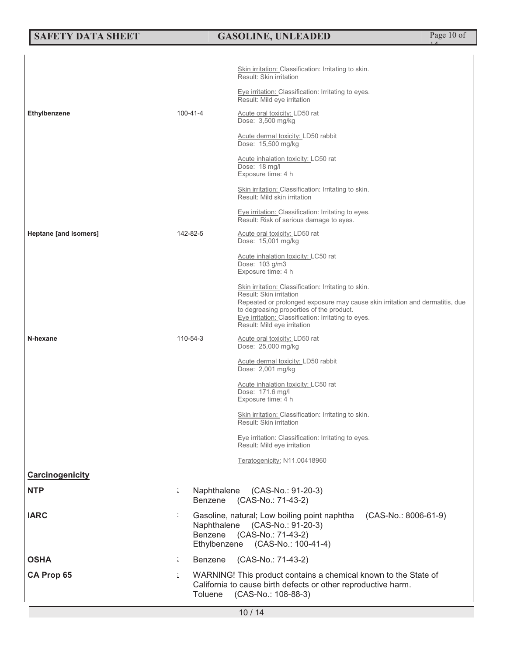## **SAFETY DATA SHEET GASOLINE, UNLEADED** Page 10 of

14

|                       |                              | <u>Skin irritation: Classification: Irritating to skin.</u><br>Result: Skin irritation                                                                                                                                                                                                            |  |
|-----------------------|------------------------------|---------------------------------------------------------------------------------------------------------------------------------------------------------------------------------------------------------------------------------------------------------------------------------------------------|--|
|                       |                              | Eye irritation: Classification: Irritating to eyes.<br>Result: Mild eye irritation                                                                                                                                                                                                                |  |
| <b>Ethylbenzene</b>   | 100-41-4                     | Acute oral toxicity: LD50 rat<br>Dose: 3,500 mg/kg                                                                                                                                                                                                                                                |  |
|                       |                              | Acute dermal toxicity: LD50 rabbit<br>Dose: 15,500 mg/kg                                                                                                                                                                                                                                          |  |
|                       |                              | Acute inhalation toxicity: LC50 rat<br>Dose: 18 mg/l<br>Exposure time: 4 h                                                                                                                                                                                                                        |  |
|                       |                              | Skin irritation: Classification: Irritating to skin.<br>Result: Mild skin irritation                                                                                                                                                                                                              |  |
|                       |                              | Eye irritation: Classification: Irritating to eyes.<br>Result: Risk of serious damage to eyes.                                                                                                                                                                                                    |  |
| Heptane [and isomers] | 142-82-5                     | Acute oral toxicity: LD50 rat<br>Dose: 15,001 mg/kg                                                                                                                                                                                                                                               |  |
|                       |                              | Acute inhalation toxicity: LC50 rat<br>Dose: 103 g/m3<br>Exposure time: 4 h                                                                                                                                                                                                                       |  |
|                       |                              | Skin irritation: Classification: Irritating to skin.<br>Result: Skin irritation<br>Repeated or prolonged exposure may cause skin irritation and dermatitis, due<br>to degreasing properties of the product.<br>Eye irritation: Classification: Irritating to eyes.<br>Result: Mild eye irritation |  |
| N-hexane              | 110-54-3                     | Acute oral toxicity: LD50 rat<br>Dose: 25,000 mg/kg                                                                                                                                                                                                                                               |  |
|                       |                              | Acute dermal toxicity: LD50 rabbit<br>Dose: 2,001 mg/kg                                                                                                                                                                                                                                           |  |
|                       |                              | Acute inhalation toxicity: LC50 rat<br>Dose: 171.6 mg/l<br>Exposure time: 4 h                                                                                                                                                                                                                     |  |
|                       |                              | Skin irritation: Classification: Irritating to skin.<br><b>Result: Skin irritation</b>                                                                                                                                                                                                            |  |
|                       |                              | Eye irritation: Classification: Irritating to eyes.<br>Result: Mild eye irritation                                                                                                                                                                                                                |  |
|                       |                              | Teratogenicity: N11.00418960                                                                                                                                                                                                                                                                      |  |
| Carcinogenicity       |                              |                                                                                                                                                                                                                                                                                                   |  |
| <b>NTP</b>            | i.<br>Naphthalene<br>Benzene | (CAS-No.: 91-20-3)<br>(CAS-No.: 71-43-2)                                                                                                                                                                                                                                                          |  |
| <b>IARC</b>           | ÷.<br>Benzene                | Gasoline, natural; Low boiling point naphtha<br>(CAS-No.: 8006-61-9)<br>Naphthalene (CAS-No.: 91-20-3)<br>(CAS-No.: 71-43-2)<br>Ethylbenzene (CAS-No.: 100-41-4)                                                                                                                                  |  |
| <b>OSHA</b>           | Benzene<br>÷.                | (CAS-No.: 71-43-2)                                                                                                                                                                                                                                                                                |  |
| <b>CA Prop 65</b>     | İ.<br>Toluene                | WARNING! This product contains a chemical known to the State of<br>California to cause birth defects or other reproductive harm.<br>(CAS-No.: 108-88-3)                                                                                                                                           |  |
| 10/14                 |                              |                                                                                                                                                                                                                                                                                                   |  |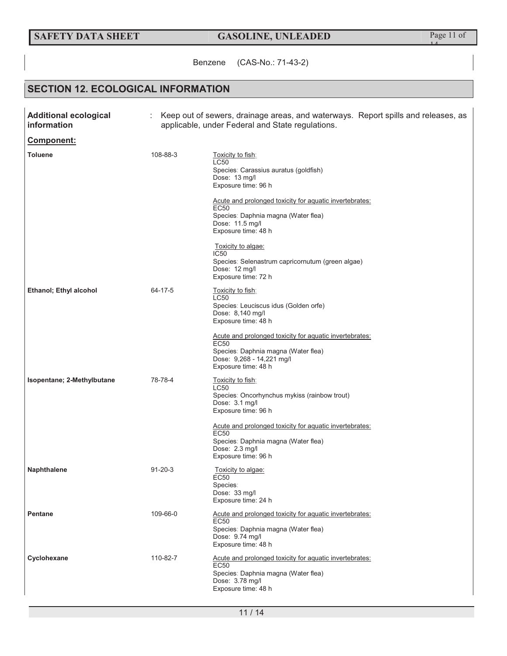## **SAFETY DATA SHEET GASOLINE, UNLEADED Page 11 of**

14

Benzene (CAS-No.: 71-43-2)

## **SECTION 12. ECOLOGICAL INFORMATION**

| <b>Additional ecological</b><br>information | Keep out of sewers, drainage areas, and waterways. Report spills and releases, as<br>applicable, under Federal and State regulations. |                                                                                                                                                                                                                                                                                                                                                                                 |  |
|---------------------------------------------|---------------------------------------------------------------------------------------------------------------------------------------|---------------------------------------------------------------------------------------------------------------------------------------------------------------------------------------------------------------------------------------------------------------------------------------------------------------------------------------------------------------------------------|--|
| Component:                                  |                                                                                                                                       |                                                                                                                                                                                                                                                                                                                                                                                 |  |
| <b>Toluene</b>                              | 108-88-3                                                                                                                              | Toxicity to fish:<br><b>LC50</b><br>Species: Carassius auratus (goldfish)<br>Dose: 13 mg/l<br>Exposure time: 96 h<br>Acute and prolonged toxicity for aquatic invertebrates:<br><b>EC50</b><br>Species: Daphnia magna (Water flea)<br>Dose: 11.5 mg/l<br>Exposure time: 48 h<br>Toxicity to algae:<br>IC50<br>Species: Selenastrum capricornutum (green algae)<br>Dose: 12 mg/l |  |
| <b>Ethanol</b> ; Ethyl alcohol              | 64-17-5                                                                                                                               | Exposure time: 72 h<br>Toxicity to fish:<br>LC50<br>Species: Leuciscus idus (Golden orfe)<br>Dose: 8,140 mg/l<br>Exposure time: 48 h<br>Acute and prolonged toxicity for aquatic invertebrates:<br>EC50<br>Species: Daphnia magna (Water flea)<br>Dose: 9,268 - 14,221 mg/l<br>Exposure time: 48 h                                                                              |  |
| Isopentane; 2-Methylbutane                  | 78-78-4                                                                                                                               | Toxicity to fish:<br>LC50<br>Species: Oncorhynchus mykiss (rainbow trout)<br>Dose: 3.1 mg/l<br>Exposure time: 96 h<br>Acute and prolonged toxicity for aquatic invertebrates:<br>EC50<br>Species: Daphnia magna (Water flea)<br>Dose: 2.3 mg/l<br>Exposure time: 96 h                                                                                                           |  |
| <b>Naphthalene</b>                          | $91 - 20 - 3$                                                                                                                         | <u>Toxicity to algae:</u><br><b>EC50</b><br>Species:<br>Dose: 33 mg/l<br>Exposure time: 24 h                                                                                                                                                                                                                                                                                    |  |
| <b>Pentane</b>                              | 109-66-0                                                                                                                              | Acute and prolonged toxicity for aquatic invertebrates:<br><b>EC50</b><br>Species: Daphnia magna (Water flea)<br>Dose: 9.74 mg/l<br>Exposure time: 48 h                                                                                                                                                                                                                         |  |
| Cyclohexane                                 | 110-82-7                                                                                                                              | Acute and prolonged toxicity for aquatic invertebrates:<br><b>EC50</b><br>Species: Daphnia magna (Water flea)<br>Dose: 3.78 mg/l<br>Exposure time: 48 h                                                                                                                                                                                                                         |  |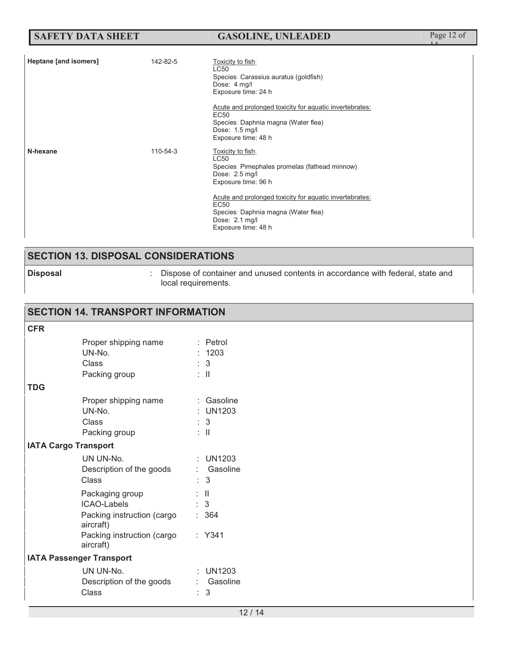| <b>SAFETY DATA SHEET</b> | <b>GASOLINE, UNLEADED</b> | Page 12 of |
|--------------------------|---------------------------|------------|
|                          |                           |            |

| Heptane [and isomers] | 142-82-5 | Toxicity to fish:<br>LC50<br>Species: Carassius auratus (goldfish)<br>Dose: 4 mg/l<br>Exposure time: 24 h<br>Acute and prolonged toxicity for aquatic invertebrates:<br>EC <sub>50</sub><br>Species: Daphnia magna (Water flea)<br>Dose: 1.5 mg/l<br>Exposure time: 48 h      |
|-----------------------|----------|-------------------------------------------------------------------------------------------------------------------------------------------------------------------------------------------------------------------------------------------------------------------------------|
| N-hexane              | 110-54-3 | Toxicity to fish:<br><b>LC50</b><br>Species: Pimephales promelas (fathead minnow)<br>Dose: 2.5 mg/l<br>Exposure time: 96 h<br>Acute and prolonged toxicity for aquatic invertebrates:<br>EC50<br>Species: Daphnia magna (Water flea)<br>Dose: 2.1 mg/l<br>Exposure time: 48 h |

## **SECTION 13. DISPOSAL CONSIDERATIONS**

**Disposal Dispose of container and unused contents in accordance with federal, state and** local requirements.

### **SECTION 14. TRANSPORT INFORMATION CFR** Proper shipping name : Petrol UN-No. : 1203 Class : 3 Packing group : II **TDG**  Proper shipping name : Gasoline<br>UN-No. : UN1203 : UN1203 Class : 3 Packing group : II **IATA Cargo Transport**  UN UN-No. : UN1203 Description of the goods : Gasoline Class : 3 Packaging group : II ICAO-Labels : 3 Packing instruction (cargo aircraft) : 364 Packing instruction (cargo aircraft) : Y341 **IATA Passenger Transport**  UN UN-No. : UN1203 Description of the goods : Gasoline Class : 3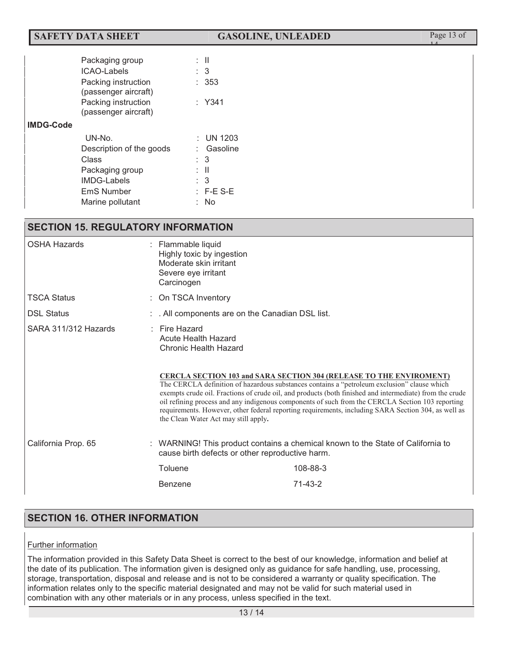## **SAFETY DATA SHEET GASOLINE, UNLEADED** Page 13 of

14

|                  | Packaging group<br><b>ICAO-Labels</b><br>Packing instruction<br>(passenger aircraft) | : II<br>: 3<br>: 353 |  |
|------------------|--------------------------------------------------------------------------------------|----------------------|--|
|                  | Packing instruction<br>(passenger aircraft)                                          | $:$ Y341             |  |
| <b>IMDG-Code</b> |                                                                                      |                      |  |
|                  | UN-No.                                                                               | $:$ UN 1203          |  |
|                  | Description of the goods                                                             | Gasoline<br>÷.       |  |
|                  | Class                                                                                | $\colon$ 3           |  |
|                  | Packaging group                                                                      | : II                 |  |
|                  | <b>IMDG-Labels</b>                                                                   | $\colon$ 3           |  |
|                  | EmS Number                                                                           | $:$ F-E S-E          |  |
|                  | Marine pollutant                                                                     | : No                 |  |

### **SECTION 15. REGULATORY INFORMATION**

| <b>OSHA Hazards</b>  | : Flammable liquid<br>Highly toxic by ingestion<br>Moderate skin irritant<br>Severe eye irritant<br>Carcinogen                                                                                                                                                                                                                                                                                                                                                                                                                                                                                             |                                                |  |
|----------------------|------------------------------------------------------------------------------------------------------------------------------------------------------------------------------------------------------------------------------------------------------------------------------------------------------------------------------------------------------------------------------------------------------------------------------------------------------------------------------------------------------------------------------------------------------------------------------------------------------------|------------------------------------------------|--|
| <b>TSCA Status</b>   | On TSCA Inventory                                                                                                                                                                                                                                                                                                                                                                                                                                                                                                                                                                                          |                                                |  |
| <b>DSL Status</b>    |                                                                                                                                                                                                                                                                                                                                                                                                                                                                                                                                                                                                            | . All components are on the Canadian DSL list. |  |
| SARA 311/312 Hazards | $:$ Fire Hazard<br>Acute Health Hazard<br>Chronic Health Hazard<br><b>CERCLA SECTION 103 and SARA SECTION 304 (RELEASE TO THE ENVIROMENT)</b><br>The CERCLA definition of hazardous substances contains a "petroleum exclusion" clause which<br>exempts crude oil. Fractions of crude oil, and products (both finished and intermediate) from the crude<br>oil refining process and any indigenous components of such from the CERCLA Section 103 reporting<br>requirements. However, other federal reporting requirements, including SARA Section 304, as well as<br>the Clean Water Act may still apply. |                                                |  |
|                      |                                                                                                                                                                                                                                                                                                                                                                                                                                                                                                                                                                                                            |                                                |  |
| California Prop. 65  | : WARNING! This product contains a chemical known to the State of California to<br>cause birth defects or other reproductive harm.                                                                                                                                                                                                                                                                                                                                                                                                                                                                         |                                                |  |
|                      | Toluene                                                                                                                                                                                                                                                                                                                                                                                                                                                                                                                                                                                                    | 108-88-3                                       |  |
|                      | Benzene                                                                                                                                                                                                                                                                                                                                                                                                                                                                                                                                                                                                    | $71-43-2$                                      |  |
|                      |                                                                                                                                                                                                                                                                                                                                                                                                                                                                                                                                                                                                            |                                                |  |

## **SECTION 16. OTHER INFORMATION**

#### Further information

The information provided in this Safety Data Sheet is correct to the best of our knowledge, information and belief at the date of its publication. The information given is designed only as guidance for safe handling, use, processing, storage, transportation, disposal and release and is not to be considered a warranty or quality specification. The information relates only to the specific material designated and may not be valid for such material used in combination with any other materials or in any process, unless specified in the text.